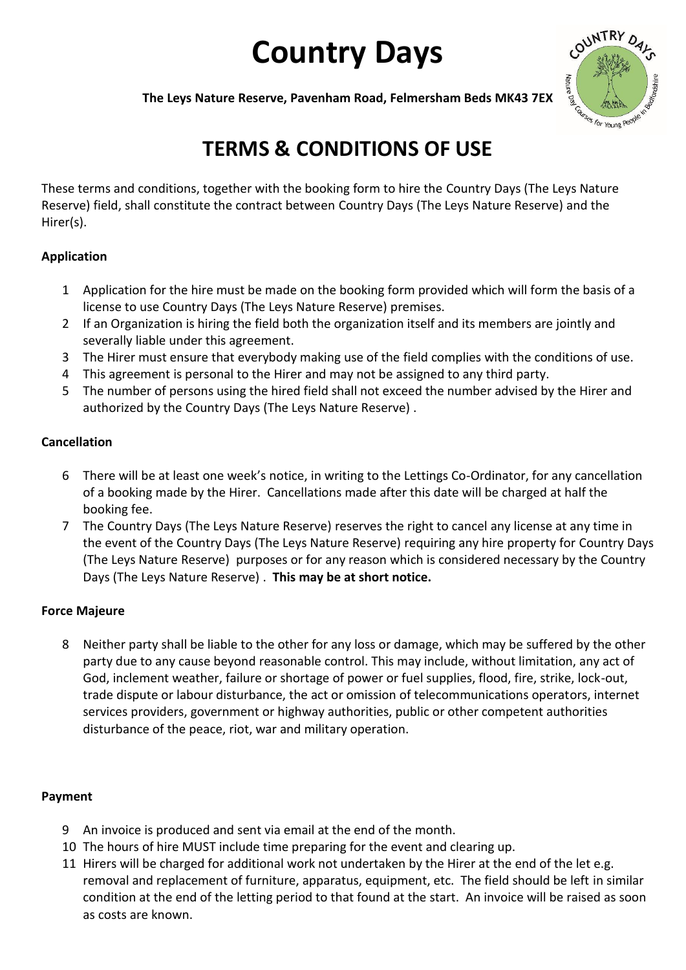# **Country Days**



**The Leys Nature Reserve, Pavenham Road, Felmersham Beds MK43 7EX** 

# **TERMS & CONDITIONS OF USE**

These terms and conditions, together with the booking form to hire the Country Days (The Leys Nature Reserve) field, shall constitute the contract between Country Days (The Leys Nature Reserve) and the Hirer(s).

## **Application**

- 1 Application for the hire must be made on the booking form provided which will form the basis of a license to use Country Days (The Leys Nature Reserve) premises.
- 2 If an Organization is hiring the field both the organization itself and its members are jointly and severally liable under this agreement.
- 3 The Hirer must ensure that everybody making use of the field complies with the conditions of use.
- 4 This agreement is personal to the Hirer and may not be assigned to any third party.
- 5 The number of persons using the hired field shall not exceed the number advised by the Hirer and authorized by the Country Days (The Leys Nature Reserve) .

# **Cancellation**

- 6 There will be at least one week's notice, in writing to the Lettings Co-Ordinator, for any cancellation of a booking made by the Hirer. Cancellations made after this date will be charged at half the booking fee.
- 7 The Country Days (The Leys Nature Reserve) reserves the right to cancel any license at any time in the event of the Country Days (The Leys Nature Reserve) requiring any hire property for Country Days (The Leys Nature Reserve) purposes or for any reason which is considered necessary by the Country Days (The Leys Nature Reserve) . **This may be at short notice.**

# **Force Majeure**

8 Neither party shall be liable to the other for any loss or damage, which may be suffered by the other party due to any cause beyond reasonable control. This may include, without limitation, any act of God, inclement weather, failure or shortage of power or fuel supplies, flood, fire, strike, lock-out, trade dispute or labour disturbance, the act or omission of telecommunications operators, internet services providers, government or highway authorities, public or other competent authorities disturbance of the peace, riot, war and military operation.

### **Payment**

- 9 An invoice is produced and sent via email at the end of the month.
- 10 The hours of hire MUST include time preparing for the event and clearing up.
- 11 Hirers will be charged for additional work not undertaken by the Hirer at the end of the let e.g. removal and replacement of furniture, apparatus, equipment, etc. The field should be left in similar condition at the end of the letting period to that found at the start. An invoice will be raised as soon as costs are known.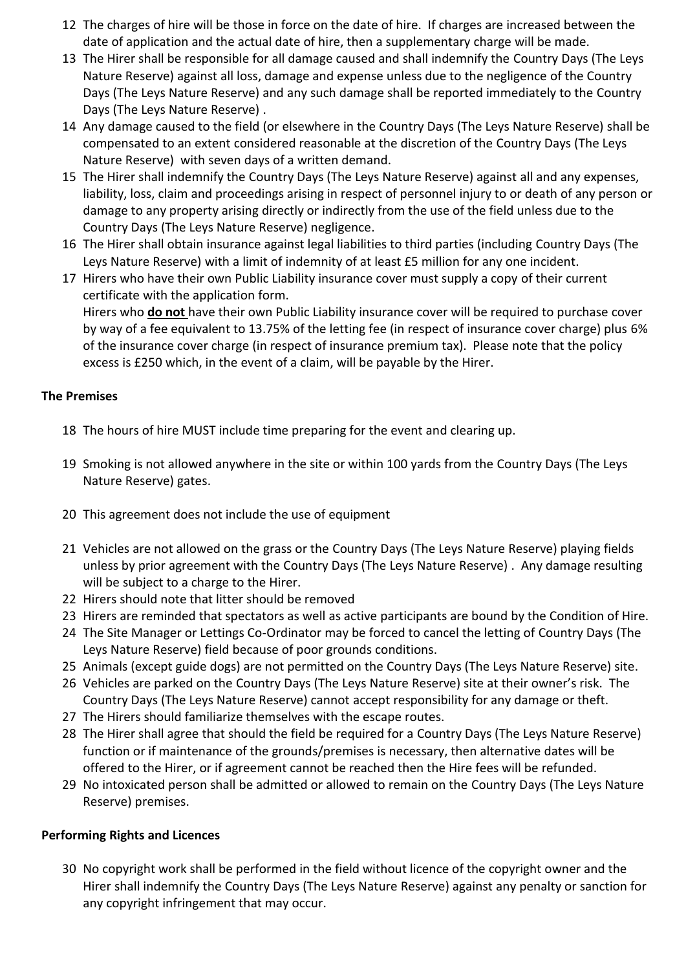- 12 The charges of hire will be those in force on the date of hire. If charges are increased between the date of application and the actual date of hire, then a supplementary charge will be made.
- 13 The Hirer shall be responsible for all damage caused and shall indemnify the Country Days (The Leys Nature Reserve) against all loss, damage and expense unless due to the negligence of the Country Days (The Leys Nature Reserve) and any such damage shall be reported immediately to the Country Days (The Leys Nature Reserve) .
- 14 Any damage caused to the field (or elsewhere in the Country Days (The Leys Nature Reserve) shall be compensated to an extent considered reasonable at the discretion of the Country Days (The Leys Nature Reserve) with seven days of a written demand.
- 15 The Hirer shall indemnify the Country Days (The Leys Nature Reserve) against all and any expenses, liability, loss, claim and proceedings arising in respect of personnel injury to or death of any person or damage to any property arising directly or indirectly from the use of the field unless due to the Country Days (The Leys Nature Reserve) negligence.
- 16 The Hirer shall obtain insurance against legal liabilities to third parties (including Country Days (The Leys Nature Reserve) with a limit of indemnity of at least £5 million for any one incident.
- 17 Hirers who have their own Public Liability insurance cover must supply a copy of their current certificate with the application form. Hirers who **do not** have their own Public Liability insurance cover will be required to purchase cover by way of a fee equivalent to 13.75% of the letting fee (in respect of insurance cover charge) plus 6% of the insurance cover charge (in respect of insurance premium tax). Please note that the policy excess is £250 which, in the event of a claim, will be payable by the Hirer.

#### **The Premises**

- 18 The hours of hire MUST include time preparing for the event and clearing up.
- 19 Smoking is not allowed anywhere in the site or within 100 yards from the Country Days (The Leys Nature Reserve) gates.
- 20 This agreement does not include the use of equipment
- 21 Vehicles are not allowed on the grass or the Country Days (The Leys Nature Reserve) playing fields unless by prior agreement with the Country Days (The Leys Nature Reserve) . Any damage resulting will be subject to a charge to the Hirer.
- 22 Hirers should note that litter should be removed
- 23 Hirers are reminded that spectators as well as active participants are bound by the Condition of Hire.
- 24 The Site Manager or Lettings Co-Ordinator may be forced to cancel the letting of Country Days (The Leys Nature Reserve) field because of poor grounds conditions.
- 25 Animals (except guide dogs) are not permitted on the Country Days (The Leys Nature Reserve) site.
- 26 Vehicles are parked on the Country Days (The Leys Nature Reserve) site at their owner's risk. The Country Days (The Leys Nature Reserve) cannot accept responsibility for any damage or theft.
- 27 The Hirers should familiarize themselves with the escape routes.
- 28 The Hirer shall agree that should the field be required for a Country Days (The Leys Nature Reserve) function or if maintenance of the grounds/premises is necessary, then alternative dates will be offered to the Hirer, or if agreement cannot be reached then the Hire fees will be refunded.
- 29 No intoxicated person shall be admitted or allowed to remain on the Country Days (The Leys Nature Reserve) premises.

#### **Performing Rights and Licences**

30 No copyright work shall be performed in the field without licence of the copyright owner and the Hirer shall indemnify the Country Days (The Leys Nature Reserve) against any penalty or sanction for any copyright infringement that may occur.